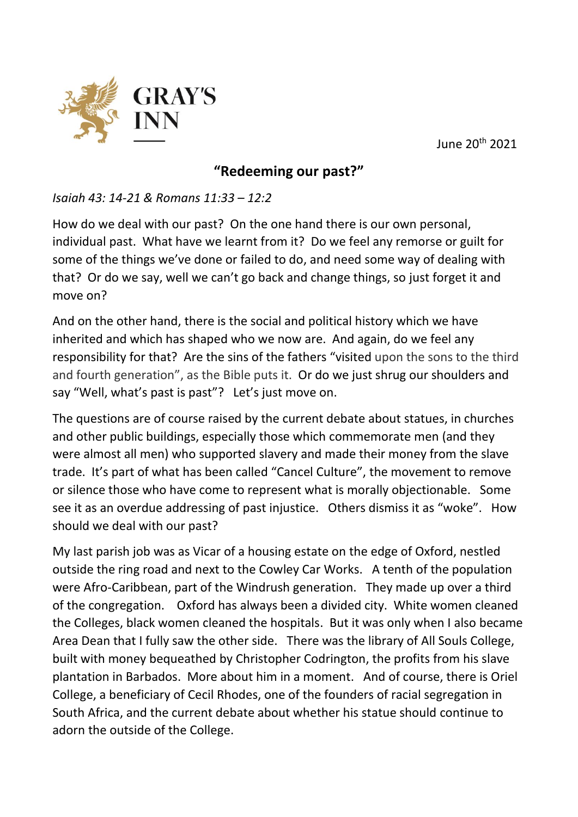June 20th 2021



## **"Redeeming our past?"**

*Isaiah 43: 14-21 & Romans 11:33 – 12:2*

How do we deal with our past? On the one hand there is our own personal, individual past. What have we learnt from it? Do we feel any remorse or guilt for some of the things we've done or failed to do, and need some way of dealing with that? Or do we say, well we can't go back and change things, so just forget it and move on?

And on the other hand, there is the social and political history which we have inherited and which has shaped who we now are. And again, do we feel any responsibility for that? Are the sins of the fathers "visited upon the sons to the third and fourth generation", as the Bible puts it. Or do we just shrug our shoulders and say "Well, what's past is past"? Let's just move on.

The questions are of course raised by the current debate about statues, in churches and other public buildings, especially those which commemorate men (and they were almost all men) who supported slavery and made their money from the slave trade. It's part of what has been called "Cancel Culture", the movement to remove or silence those who have come to represent what is morally objectionable. Some see it as an overdue addressing of past injustice. Others dismiss it as "woke". How should we deal with our past?

My last parish job was as Vicar of a housing estate on the edge of Oxford, nestled outside the ring road and next to the Cowley Car Works. A tenth of the population were Afro-Caribbean, part of the Windrush generation. They made up over a third of the congregation. Oxford has always been a divided city. White women cleaned the Colleges, black women cleaned the hospitals. But it was only when I also became Area Dean that I fully saw the other side. There was the library of All Souls College, built with money bequeathed by Christopher Codrington, the profits from his slave plantation in Barbados. More about him in a moment. And of course, there is Oriel College, a beneficiary of Cecil Rhodes, one of the founders of racial segregation in South Africa, and the current debate about whether his statue should continue to adorn the outside of the College.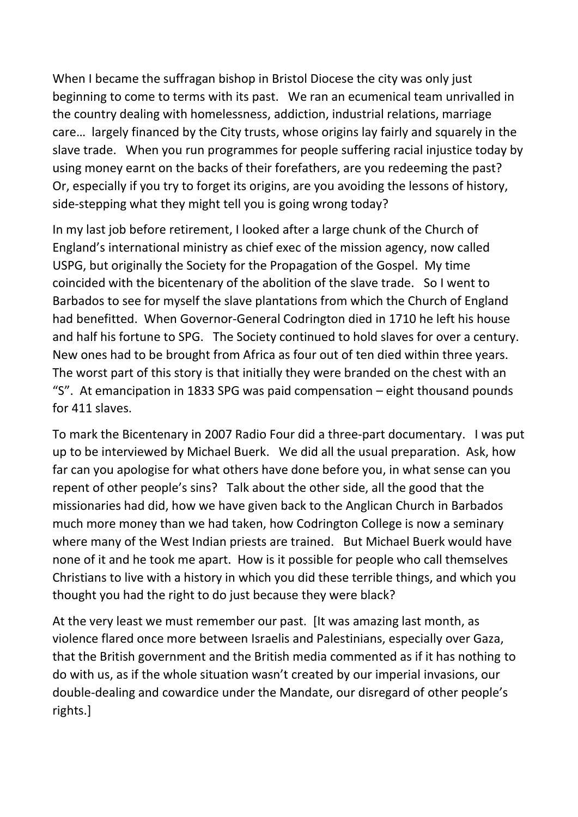When I became the suffragan bishop in Bristol Diocese the city was only just beginning to come to terms with its past. We ran an ecumenical team unrivalled in the country dealing with homelessness, addiction, industrial relations, marriage care… largely financed by the City trusts, whose origins lay fairly and squarely in the slave trade. When you run programmes for people suffering racial injustice today by using money earnt on the backs of their forefathers, are you redeeming the past? Or, especially if you try to forget its origins, are you avoiding the lessons of history, side-stepping what they might tell you is going wrong today?

In my last job before retirement, I looked after a large chunk of the Church of England's international ministry as chief exec of the mission agency, now called USPG, but originally the Society for the Propagation of the Gospel. My time coincided with the bicentenary of the abolition of the slave trade. So I went to Barbados to see for myself the slave plantations from which the Church of England had benefitted. When Governor-General Codrington died in 1710 he left his house and half his fortune to SPG. The Society continued to hold slaves for over a century. New ones had to be brought from Africa as four out of ten died within three years. The worst part of this story is that initially they were branded on the chest with an "S". At emancipation in 1833 SPG was paid compensation – eight thousand pounds for 411 slaves.

To mark the Bicentenary in 2007 Radio Four did a three-part documentary. I was put up to be interviewed by Michael Buerk. We did all the usual preparation. Ask, how far can you apologise for what others have done before you, in what sense can you repent of other people's sins? Talk about the other side, all the good that the missionaries had did, how we have given back to the Anglican Church in Barbados much more money than we had taken, how Codrington College is now a seminary where many of the West Indian priests are trained. But Michael Buerk would have none of it and he took me apart. How is it possible for people who call themselves Christians to live with a history in which you did these terrible things, and which you thought you had the right to do just because they were black?

At the very least we must remember our past. [It was amazing last month, as violence flared once more between Israelis and Palestinians, especially over Gaza, that the British government and the British media commented as if it has nothing to do with us, as if the whole situation wasn't created by our imperial invasions, our double-dealing and cowardice under the Mandate, our disregard of other people's rights.]